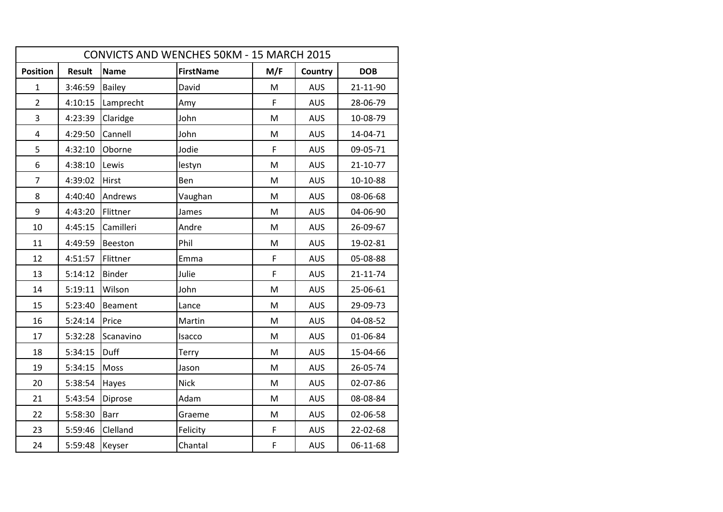| CONVICTS AND WENCHES 50KM - 15 MARCH 2015 |               |                |                  |     |            |                |  |  |  |
|-------------------------------------------|---------------|----------------|------------------|-----|------------|----------------|--|--|--|
| <b>Position</b>                           | <b>Result</b> | <b>Name</b>    | <b>FirstName</b> | M/F | Country    | <b>DOB</b>     |  |  |  |
| 1                                         | 3:46:59       | <b>Bailey</b>  | David            | M   | <b>AUS</b> | 21-11-90       |  |  |  |
| $\overline{2}$                            | 4:10:15       | Lamprecht      | Amy              | F   | <b>AUS</b> | 28-06-79       |  |  |  |
| $\overline{3}$                            | 4:23:39       | Claridge       | John             | M   | <b>AUS</b> | 10-08-79       |  |  |  |
| $\overline{\mathbf{4}}$                   | 4:29:50       | Cannell        | John             | M   | <b>AUS</b> | 14-04-71       |  |  |  |
| 5                                         | 4:32:10       | Oborne         | Jodie            | F   | <b>AUS</b> | 09-05-71       |  |  |  |
| 6                                         | 4:38:10       | Lewis          | lestyn           | M   | <b>AUS</b> | 21-10-77       |  |  |  |
| $\overline{7}$                            | 4:39:02       | Hirst          | Ben              | M   | <b>AUS</b> | 10-10-88       |  |  |  |
| 8                                         | 4:40:40       | Andrews        | Vaughan          | M   | <b>AUS</b> | 08-06-68       |  |  |  |
| 9                                         | 4:43:20       | Flittner       | James            | M   | <b>AUS</b> | 04-06-90       |  |  |  |
| 10                                        | 4:45:15       | Camilleri      | Andre            | M   | <b>AUS</b> | 26-09-67       |  |  |  |
| 11                                        | 4:49:59       | Beeston        | Phil             | M   | <b>AUS</b> | 19-02-81       |  |  |  |
| 12                                        | 4:51:57       | Flittner       | Emma             | F   | <b>AUS</b> | 05-08-88       |  |  |  |
| 13                                        | 5:14:12       | <b>Binder</b>  | Julie            | F   | <b>AUS</b> | $21 - 11 - 74$ |  |  |  |
| 14                                        | 5:19:11       | Wilson         | John             | M   | <b>AUS</b> | 25-06-61       |  |  |  |
| 15                                        | 5:23:40       | <b>Beament</b> | Lance            | M   | <b>AUS</b> | 29-09-73       |  |  |  |
| 16                                        | 5:24:14       | Price          | Martin           | M   | <b>AUS</b> | 04-08-52       |  |  |  |
| 17                                        | 5:32:28       | Scanavino      | Isacco           | M   | <b>AUS</b> | 01-06-84       |  |  |  |
| 18                                        | 5:34:15       | Duff           | Terry            | M   | <b>AUS</b> | 15-04-66       |  |  |  |
| 19                                        | 5:34:15       | Moss           | Jason            | M   | <b>AUS</b> | 26-05-74       |  |  |  |
| 20                                        | 5:38:54       | Hayes          | <b>Nick</b>      | M   | <b>AUS</b> | 02-07-86       |  |  |  |
| 21                                        | 5:43:54       | Diprose        | Adam             | M   | <b>AUS</b> | 08-08-84       |  |  |  |
| 22                                        | 5:58:30       | <b>Barr</b>    | Graeme           | M   | <b>AUS</b> | 02-06-58       |  |  |  |
| 23                                        | 5:59:46       | Clelland       | Felicity         | F   | <b>AUS</b> | 22-02-68       |  |  |  |
| 24                                        | 5:59:48       | Keyser         | Chantal          | F   | <b>AUS</b> | 06-11-68       |  |  |  |